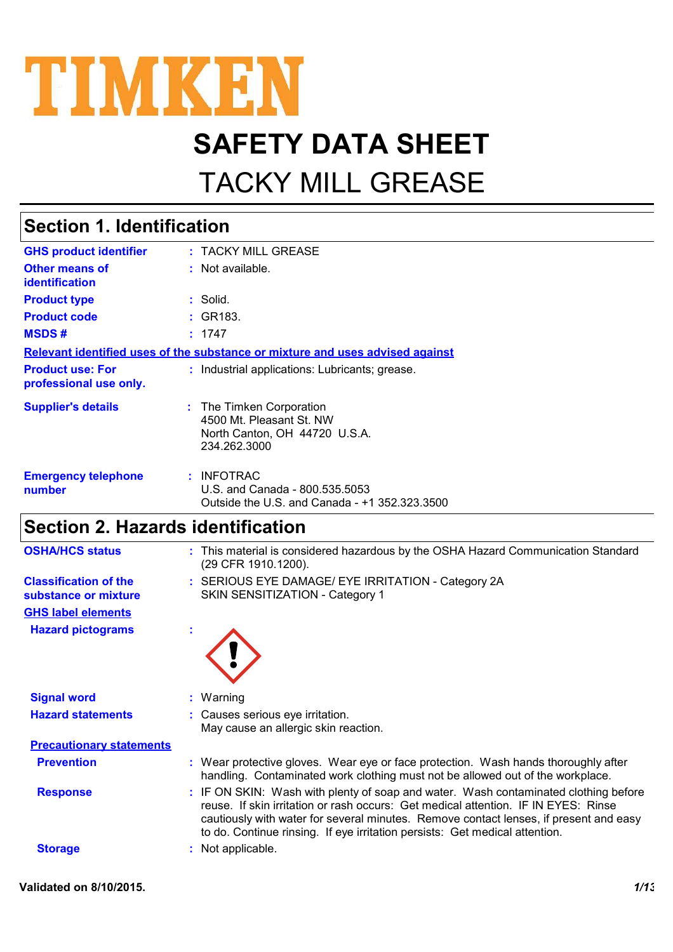

# **SAFETY DATA SHEET**

# TACKY MILL GREASE

### **Section 1. Identification**

| <b>GHS product identifier</b>                     | : TACKY MILL GREASE                                                                                   |
|---------------------------------------------------|-------------------------------------------------------------------------------------------------------|
| <b>Other means of</b><br><b>identification</b>    | : Not available.                                                                                      |
| <b>Product type</b>                               | $:$ Solid.                                                                                            |
| <b>Product code</b>                               | : GR183.                                                                                              |
| <b>MSDS#</b>                                      | : 1747                                                                                                |
|                                                   | <u>Relevant identified uses of the substance or mixture and uses advised against</u>                  |
| <b>Product use: For</b><br>professional use only. | : Industrial applications: Lubricants; grease.                                                        |
| <b>Supplier's details</b>                         | : The Timken Corporation<br>4500 Mt. Pleasant St. NW<br>North Canton, OH 44720 U.S.A.<br>234.262.3000 |
| <b>Emergency telephone</b><br>number              | : INFOTRAC<br>U.S. and Canada - 800.535.5053<br>Outside the U.S. and Canada - +1 352.323.3500         |

### **Section 2. Hazards identification**

| <b>OSHA/HCS status</b>                               | : This material is considered hazardous by the OSHA Hazard Communication Standard<br>(29 CFR 1910.1200).                                                                                                                                                                                                                                          |
|------------------------------------------------------|---------------------------------------------------------------------------------------------------------------------------------------------------------------------------------------------------------------------------------------------------------------------------------------------------------------------------------------------------|
| <b>Classification of the</b><br>substance or mixture | : SERIOUS EYE DAMAGE/ EYE IRRITATION - Category 2A<br>SKIN SENSITIZATION - Category 1                                                                                                                                                                                                                                                             |
| <b>GHS label elements</b>                            |                                                                                                                                                                                                                                                                                                                                                   |
| <b>Hazard pictograms</b>                             |                                                                                                                                                                                                                                                                                                                                                   |
| <b>Signal word</b>                                   | : Warning                                                                                                                                                                                                                                                                                                                                         |
| <b>Hazard statements</b>                             | : Causes serious eye irritation.<br>May cause an allergic skin reaction.                                                                                                                                                                                                                                                                          |
| <b>Precautionary statements</b>                      |                                                                                                                                                                                                                                                                                                                                                   |
| <b>Prevention</b>                                    | : Wear protective gloves. Wear eye or face protection. Wash hands thoroughly after<br>handling. Contaminated work clothing must not be allowed out of the workplace.                                                                                                                                                                              |
| <b>Response</b>                                      | : IF ON SKIN: Wash with plenty of soap and water. Wash contaminated clothing before<br>reuse. If skin irritation or rash occurs: Get medical attention. IF IN EYES: Rinse<br>cautiously with water for several minutes. Remove contact lenses, if present and easy<br>to do. Continue rinsing. If eye irritation persists: Get medical attention. |
| <b>Storage</b>                                       | : Not applicable.                                                                                                                                                                                                                                                                                                                                 |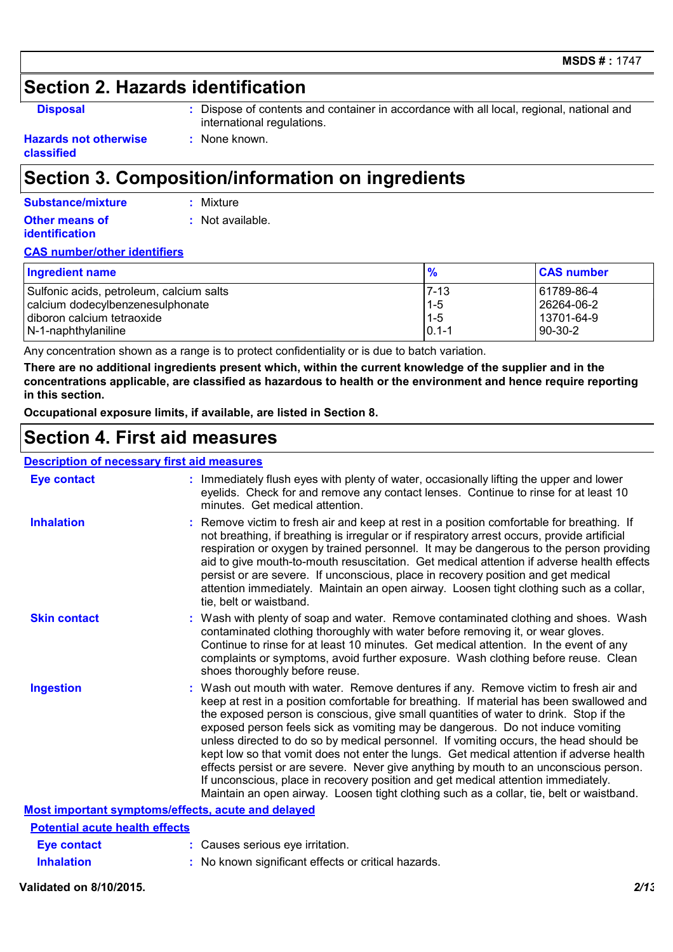### **Section 2. Hazards identification**

| × | . .<br>٠<br>v |
|---|---------------|

**:** Dispose of contents and container in accordance with all local, regional, national and international regulations.

#### **Hazards not otherwise classified**

### **Section 3. Composition/information on ingredients**

**:** None known.

#### **Other means of identification :** Not available. **Substance/mixture :** Mixture

#### **CAS number/other identifiers**

| Ingredient name                          |           | <b>CAS number</b> |
|------------------------------------------|-----------|-------------------|
| Sulfonic acids, petroleum, calcium salts | $7 - 13$  | 61789-86-4        |
| calcium dodecylbenzenesulphonate         | $1 - 5$   | l 26264-06-2      |
| diboron calcium tetraoxide               | $1 - 5$   | l 13701-64-9      |
| N-1-naphthylaniline                      | $0.1 - 1$ | 90-30-2           |

Any concentration shown as a range is to protect confidentiality or is due to batch variation.

**There are no additional ingredients present which, within the current knowledge of the supplier and in the concentrations applicable, are classified as hazardous to health or the environment and hence require reporting in this section.**

**Occupational exposure limits, if available, are listed in Section 8.**

### **Section 4. First aid measures**

| <b>Description of necessary first aid measures</b> |                                                                                                                                                                                                                                                                                                                                                                                                                                                                                                                                                                                                                                                                                                                                                                                                                           |  |
|----------------------------------------------------|---------------------------------------------------------------------------------------------------------------------------------------------------------------------------------------------------------------------------------------------------------------------------------------------------------------------------------------------------------------------------------------------------------------------------------------------------------------------------------------------------------------------------------------------------------------------------------------------------------------------------------------------------------------------------------------------------------------------------------------------------------------------------------------------------------------------------|--|
| <b>Eye contact</b>                                 | : Immediately flush eyes with plenty of water, occasionally lifting the upper and lower<br>eyelids. Check for and remove any contact lenses. Continue to rinse for at least 10<br>minutes. Get medical attention.                                                                                                                                                                                                                                                                                                                                                                                                                                                                                                                                                                                                         |  |
| <b>Inhalation</b>                                  | : Remove victim to fresh air and keep at rest in a position comfortable for breathing. If<br>not breathing, if breathing is irregular or if respiratory arrest occurs, provide artificial<br>respiration or oxygen by trained personnel. It may be dangerous to the person providing<br>aid to give mouth-to-mouth resuscitation. Get medical attention if adverse health effects<br>persist or are severe. If unconscious, place in recovery position and get medical<br>attention immediately. Maintain an open airway. Loosen tight clothing such as a collar,<br>tie, belt or waistband.                                                                                                                                                                                                                              |  |
| <b>Skin contact</b>                                | : Wash with plenty of soap and water. Remove contaminated clothing and shoes. Wash<br>contaminated clothing thoroughly with water before removing it, or wear gloves.<br>Continue to rinse for at least 10 minutes. Get medical attention. In the event of any<br>complaints or symptoms, avoid further exposure. Wash clothing before reuse. Clean<br>shoes thoroughly before reuse.                                                                                                                                                                                                                                                                                                                                                                                                                                     |  |
| <b>Ingestion</b>                                   | : Wash out mouth with water. Remove dentures if any. Remove victim to fresh air and<br>keep at rest in a position comfortable for breathing. If material has been swallowed and<br>the exposed person is conscious, give small quantities of water to drink. Stop if the<br>exposed person feels sick as vomiting may be dangerous. Do not induce vomiting<br>unless directed to do so by medical personnel. If vomiting occurs, the head should be<br>kept low so that vomit does not enter the lungs. Get medical attention if adverse health<br>effects persist or are severe. Never give anything by mouth to an unconscious person.<br>If unconscious, place in recovery position and get medical attention immediately.<br>Maintain an open airway. Loosen tight clothing such as a collar, tie, belt or waistband. |  |
| Most important symptoms/effects, acute and delayed |                                                                                                                                                                                                                                                                                                                                                                                                                                                                                                                                                                                                                                                                                                                                                                                                                           |  |
| <b>Potential acute health effects</b>              |                                                                                                                                                                                                                                                                                                                                                                                                                                                                                                                                                                                                                                                                                                                                                                                                                           |  |
| Eye contact                                        | : Causes serious eye irritation.                                                                                                                                                                                                                                                                                                                                                                                                                                                                                                                                                                                                                                                                                                                                                                                          |  |

#### **Validated on 8/10/2015.** *2/13*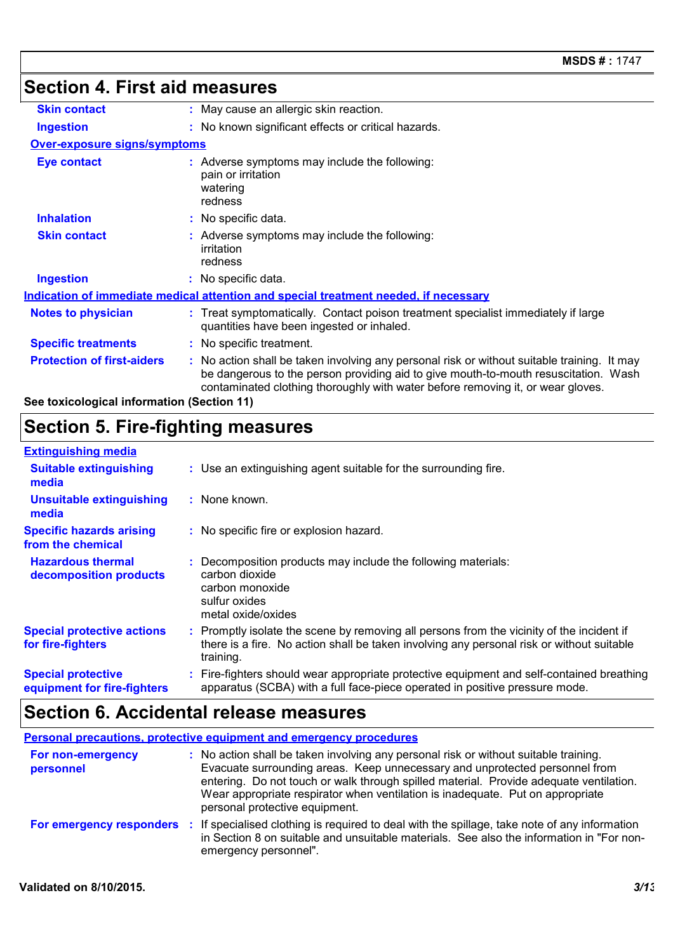## **Section 4. First aid measures**

| <b>Skin contact</b>                                                                         | : May cause an allergic skin reaction.                                                                                                                                                                                                                                |  |  |
|---------------------------------------------------------------------------------------------|-----------------------------------------------------------------------------------------------------------------------------------------------------------------------------------------------------------------------------------------------------------------------|--|--|
| <b>Ingestion</b>                                                                            | : No known significant effects or critical hazards.                                                                                                                                                                                                                   |  |  |
| <b>Over-exposure signs/symptoms</b>                                                         |                                                                                                                                                                                                                                                                       |  |  |
| <b>Eye contact</b>                                                                          | : Adverse symptoms may include the following:<br>pain or irritation<br>watering<br>redness                                                                                                                                                                            |  |  |
| <b>Inhalation</b>                                                                           | : No specific data.                                                                                                                                                                                                                                                   |  |  |
| <b>Skin contact</b>                                                                         | : Adverse symptoms may include the following:<br>irritation<br>redness                                                                                                                                                                                                |  |  |
| <b>Ingestion</b>                                                                            | : No specific data.                                                                                                                                                                                                                                                   |  |  |
| <u>Indication of immediate medical attention and special treatment needed, if necessary</u> |                                                                                                                                                                                                                                                                       |  |  |
| <b>Notes to physician</b>                                                                   | : Treat symptomatically. Contact poison treatment specialist immediately if large<br>quantities have been ingested or inhaled.                                                                                                                                        |  |  |
| <b>Specific treatments</b>                                                                  | : No specific treatment.                                                                                                                                                                                                                                              |  |  |
| <b>Protection of first-aiders</b>                                                           | : No action shall be taken involving any personal risk or without suitable training. It may<br>be dangerous to the person providing aid to give mouth-to-mouth resuscitation. Wash<br>contaminated clothing thoroughly with water before removing it, or wear gloves. |  |  |
| See toxicological information (Section 11)                                                  |                                                                                                                                                                                                                                                                       |  |  |

### **Section 5. Fire-fighting measures**

#### **:** Promptly isolate the scene by removing all persons from the vicinity of the incident if there is a fire. No action shall be taken involving any personal risk or without suitable training. **Hazardous thermal decomposition products Specific hazards arising from the chemical** Decomposition products may include the following materials: **:** carbon dioxide carbon monoxide sulfur oxides metal oxide/oxides No specific fire or explosion hazard. **:** Fire-fighters should wear appropriate protective equipment and self-contained breathing **:** apparatus (SCBA) with a full face-piece operated in positive pressure mode. **Special protective equipment for fire-fighters** Use an extinguishing agent suitable for the surrounding fire. **: Extinguishing media :** None known. **Suitable extinguishing media Unsuitable extinguishing media Special protective actions for fire-fighters**

### **Section 6. Accidental release measures**

| <b>Personal precautions, protective equipment and emergency procedures</b> |                                                                                                                                                                                                                                                                                                                                                                                   |  |
|----------------------------------------------------------------------------|-----------------------------------------------------------------------------------------------------------------------------------------------------------------------------------------------------------------------------------------------------------------------------------------------------------------------------------------------------------------------------------|--|
| For non-emergency<br>personnel                                             | : No action shall be taken involving any personal risk or without suitable training.<br>Evacuate surrounding areas. Keep unnecessary and unprotected personnel from<br>entering. Do not touch or walk through spilled material. Provide adequate ventilation.<br>Wear appropriate respirator when ventilation is inadequate. Put on appropriate<br>personal protective equipment. |  |
| For emergency responders :                                                 | If specialised clothing is required to deal with the spillage, take note of any information<br>in Section 8 on suitable and unsuitable materials. See also the information in "For non-<br>emergency personnel".                                                                                                                                                                  |  |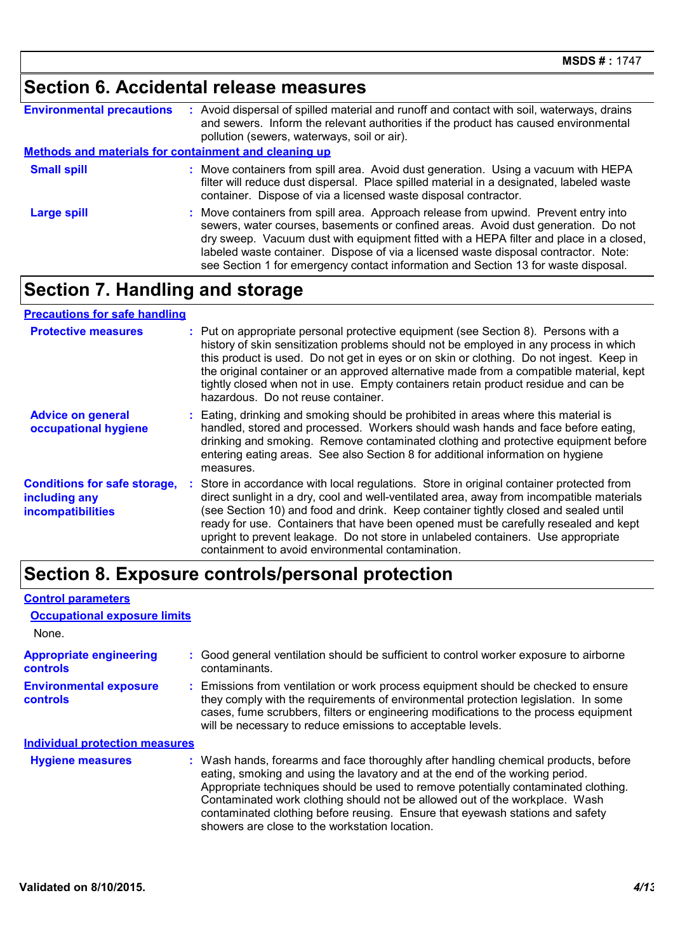### **Section 6. Accidental release measures**

| <b>Environmental precautions</b>                             | Avoid dispersal of spilled material and runoff and contact with soil, waterways, drains<br>and sewers. Inform the relevant authorities if the product has caused environmental<br>pollution (sewers, waterways, soil or air).                                                                                                                                                                                                                   |  |  |
|--------------------------------------------------------------|-------------------------------------------------------------------------------------------------------------------------------------------------------------------------------------------------------------------------------------------------------------------------------------------------------------------------------------------------------------------------------------------------------------------------------------------------|--|--|
| <b>Methods and materials for containment and cleaning up</b> |                                                                                                                                                                                                                                                                                                                                                                                                                                                 |  |  |
| <b>Small spill</b>                                           | Move containers from spill area. Avoid dust generation. Using a vacuum with HEPA<br>filter will reduce dust dispersal. Place spilled material in a designated, labeled waste<br>container. Dispose of via a licensed waste disposal contractor.                                                                                                                                                                                                 |  |  |
| <b>Large spill</b>                                           | : Move containers from spill area. Approach release from upwind. Prevent entry into<br>sewers, water courses, basements or confined areas. Avoid dust generation. Do not<br>dry sweep. Vacuum dust with equipment fitted with a HEPA filter and place in a closed,<br>labeled waste container. Dispose of via a licensed waste disposal contractor. Note:<br>see Section 1 for emergency contact information and Section 13 for waste disposal. |  |  |

## **Section 7. Handling and storage**

### **Precautions for safe handling**

| <b>Protective measures</b>                                                       | : Put on appropriate personal protective equipment (see Section 8). Persons with a<br>history of skin sensitization problems should not be employed in any process in which<br>this product is used. Do not get in eyes or on skin or clothing. Do not ingest. Keep in<br>the original container or an approved alternative made from a compatible material, kept<br>tightly closed when not in use. Empty containers retain product residue and can be<br>hazardous. Do not reuse container.                 |
|----------------------------------------------------------------------------------|---------------------------------------------------------------------------------------------------------------------------------------------------------------------------------------------------------------------------------------------------------------------------------------------------------------------------------------------------------------------------------------------------------------------------------------------------------------------------------------------------------------|
| <b>Advice on general</b><br>occupational hygiene                                 | : Eating, drinking and smoking should be prohibited in areas where this material is<br>handled, stored and processed. Workers should wash hands and face before eating,<br>drinking and smoking. Remove contaminated clothing and protective equipment before<br>entering eating areas. See also Section 8 for additional information on hygiene<br>measures.                                                                                                                                                 |
| <b>Conditions for safe storage,</b><br>including any<br><b>incompatibilities</b> | : Store in accordance with local regulations. Store in original container protected from<br>direct sunlight in a dry, cool and well-ventilated area, away from incompatible materials<br>(see Section 10) and food and drink. Keep container tightly closed and sealed until<br>ready for use. Containers that have been opened must be carefully resealed and kept<br>upright to prevent leakage. Do not store in unlabeled containers. Use appropriate<br>containment to avoid environmental contamination. |

## **Section 8. Exposure controls/personal protection**

| <b>Control parameters</b>                         |  |                                                                                                                                                                                                                                                                                                                                                                                                                                                                             |
|---------------------------------------------------|--|-----------------------------------------------------------------------------------------------------------------------------------------------------------------------------------------------------------------------------------------------------------------------------------------------------------------------------------------------------------------------------------------------------------------------------------------------------------------------------|
| <b>Occupational exposure limits</b><br>None.      |  |                                                                                                                                                                                                                                                                                                                                                                                                                                                                             |
| <b>Appropriate engineering</b><br><b>controls</b> |  | : Good general ventilation should be sufficient to control worker exposure to airborne<br>contaminants.                                                                                                                                                                                                                                                                                                                                                                     |
| <b>Environmental exposure</b><br><b>controls</b>  |  | : Emissions from ventilation or work process equipment should be checked to ensure<br>they comply with the requirements of environmental protection legislation. In some<br>cases, fume scrubbers, filters or engineering modifications to the process equipment<br>will be necessary to reduce emissions to acceptable levels.                                                                                                                                             |
| <b>Individual protection measures</b>             |  |                                                                                                                                                                                                                                                                                                                                                                                                                                                                             |
| <b>Hygiene measures</b>                           |  | : Wash hands, forearms and face thoroughly after handling chemical products, before<br>eating, smoking and using the lavatory and at the end of the working period.<br>Appropriate techniques should be used to remove potentially contaminated clothing.<br>Contaminated work clothing should not be allowed out of the workplace. Wash<br>contaminated clothing before reusing. Ensure that eyewash stations and safety<br>showers are close to the workstation location. |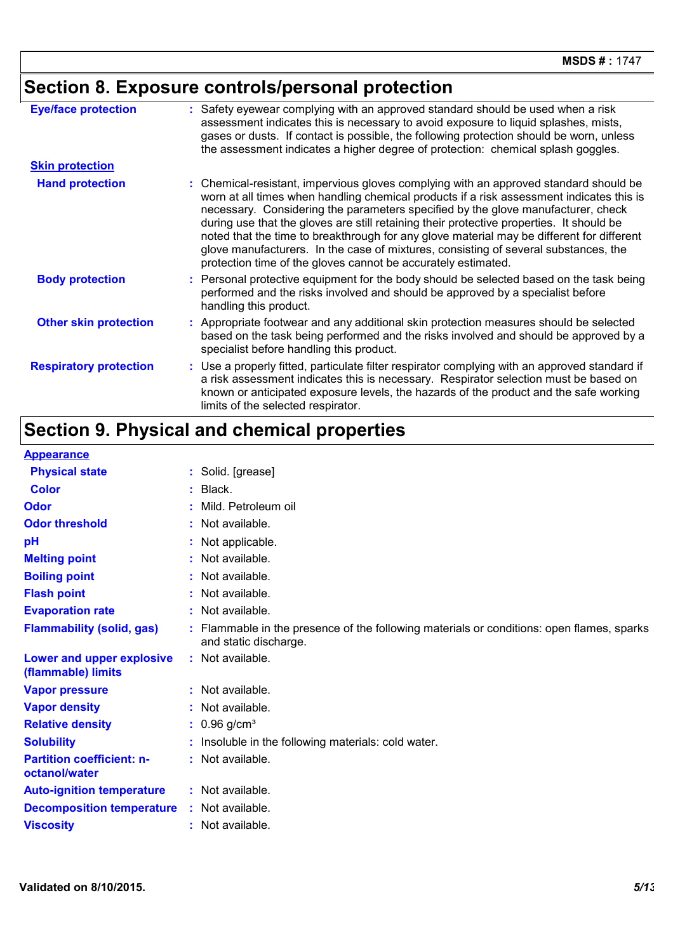# **Section 8. Exposure controls/personal protection**

| <b>Eye/face protection</b>    | : Safety eyewear complying with an approved standard should be used when a risk<br>assessment indicates this is necessary to avoid exposure to liquid splashes, mists,<br>gases or dusts. If contact is possible, the following protection should be worn, unless<br>the assessment indicates a higher degree of protection: chemical splash goggles.                                                                                                                                                                                                                                                                  |
|-------------------------------|------------------------------------------------------------------------------------------------------------------------------------------------------------------------------------------------------------------------------------------------------------------------------------------------------------------------------------------------------------------------------------------------------------------------------------------------------------------------------------------------------------------------------------------------------------------------------------------------------------------------|
| <b>Skin protection</b>        |                                                                                                                                                                                                                                                                                                                                                                                                                                                                                                                                                                                                                        |
| <b>Hand protection</b>        | : Chemical-resistant, impervious gloves complying with an approved standard should be<br>worn at all times when handling chemical products if a risk assessment indicates this is<br>necessary. Considering the parameters specified by the glove manufacturer, check<br>during use that the gloves are still retaining their protective properties. It should be<br>noted that the time to breakthrough for any glove material may be different for different<br>glove manufacturers. In the case of mixtures, consisting of several substances, the<br>protection time of the gloves cannot be accurately estimated. |
| <b>Body protection</b>        | : Personal protective equipment for the body should be selected based on the task being<br>performed and the risks involved and should be approved by a specialist before<br>handling this product.                                                                                                                                                                                                                                                                                                                                                                                                                    |
| <b>Other skin protection</b>  | : Appropriate footwear and any additional skin protection measures should be selected<br>based on the task being performed and the risks involved and should be approved by a<br>specialist before handling this product.                                                                                                                                                                                                                                                                                                                                                                                              |
| <b>Respiratory protection</b> | : Use a properly fitted, particulate filter respirator complying with an approved standard if<br>a risk assessment indicates this is necessary. Respirator selection must be based on<br>known or anticipated exposure levels, the hazards of the product and the safe working<br>limits of the selected respirator.                                                                                                                                                                                                                                                                                                   |

# **Section 9. Physical and chemical properties**

| <b>Appearance</b>                                 |                                                                                                                  |
|---------------------------------------------------|------------------------------------------------------------------------------------------------------------------|
| <b>Physical state</b>                             | : Solid. [grease]                                                                                                |
| <b>Color</b>                                      | Black.                                                                                                           |
| Odor                                              | Mild. Petroleum oil                                                                                              |
| <b>Odor threshold</b>                             | : Not available.                                                                                                 |
| pH                                                | : Not applicable.                                                                                                |
| <b>Melting point</b>                              | : Not available.                                                                                                 |
| <b>Boiling point</b>                              | Not available.                                                                                                   |
| <b>Flash point</b>                                | Not available.                                                                                                   |
| <b>Evaporation rate</b>                           | : Not available.                                                                                                 |
| <b>Flammability (solid, gas)</b>                  | Flammable in the presence of the following materials or conditions: open flames, sparks<br>and static discharge. |
| Lower and upper explosive<br>(flammable) limits   | : Not available.                                                                                                 |
| <b>Vapor pressure</b>                             | : Not available.                                                                                                 |
| <b>Vapor density</b>                              | : Not available.                                                                                                 |
| <b>Relative density</b>                           | $: 0.96$ g/cm <sup>3</sup>                                                                                       |
| <b>Solubility</b>                                 | Insoluble in the following materials: cold water.                                                                |
| <b>Partition coefficient: n-</b><br>octanol/water | : Not available.                                                                                                 |
| <b>Auto-ignition temperature</b>                  | : Not available.                                                                                                 |
| <b>Decomposition temperature</b>                  | : Not available.                                                                                                 |
| <b>Viscosity</b>                                  | Not available.                                                                                                   |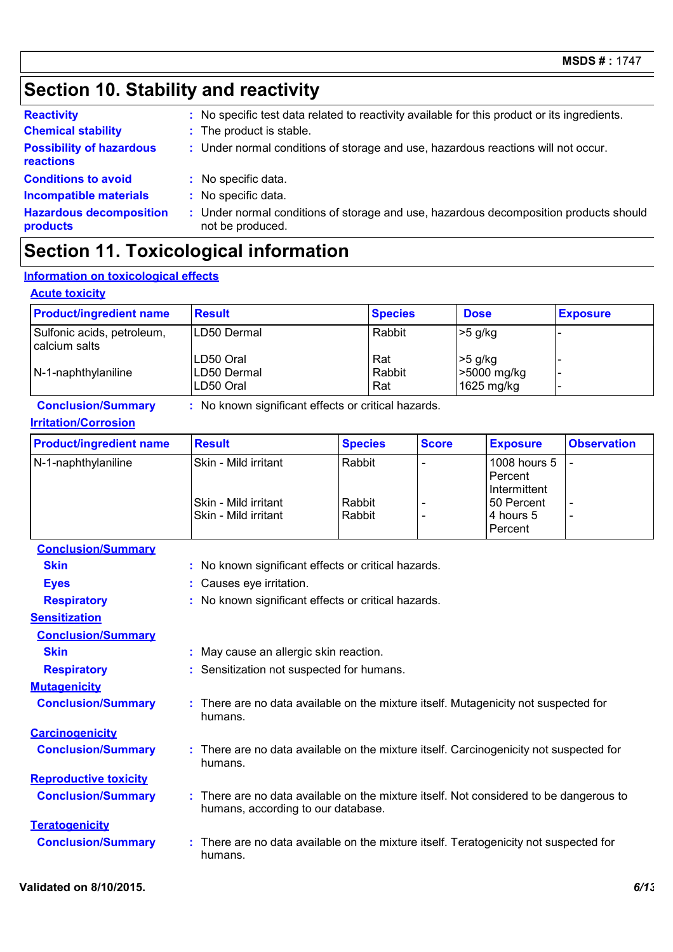## **Section 10. Stability and reactivity**

| <b>Reactivity</b>                            | : No specific test data related to reactivity available for this product or its ingredients.              |
|----------------------------------------------|-----------------------------------------------------------------------------------------------------------|
| <b>Chemical stability</b>                    | : The product is stable.                                                                                  |
| <b>Possibility of hazardous</b><br>reactions | : Under normal conditions of storage and use, hazardous reactions will not occur.                         |
| <b>Conditions to avoid</b>                   | : No specific data.                                                                                       |
| <b>Incompatible materials</b>                | : No specific data.                                                                                       |
| <b>Hazardous decomposition</b><br>products   | : Under normal conditions of storage and use, hazardous decomposition products should<br>not be produced. |

### **Section 11. Toxicological information**

### **Information on toxicological effects**

#### **Acute toxicity**

| <b>Product/ingredient name</b>                | <b>Result</b>                         | <b>Species</b>       | <b>Dose</b>                            | <b>Exposure</b>          |
|-----------------------------------------------|---------------------------------------|----------------------|----------------------------------------|--------------------------|
| Sulfonic acids, petroleum,<br>I calcium salts | LD50 Dermal                           | Rabbit               | $>5$ g/kg                              |                          |
| $N-1$ -naphthylaniline                        | LD50 Oral<br>LD50 Dermal<br>LD50 Oral | Rat<br>Rabbit<br>Rat | $>5$ g/kg<br>>5000 mg/kg<br>1625 mg/kg | $\overline{\phantom{a}}$ |

**Conclusion/Summary :** No known significant effects or critical hazards.

#### **Irritation/Corrosion**

| <b>Product/ingredient name</b> | <b>Result</b>                                       | <b>Species</b>   | <b>Score</b> | <b>Exposure</b>                         | <b>Observation</b>                                   |
|--------------------------------|-----------------------------------------------------|------------------|--------------|-----------------------------------------|------------------------------------------------------|
| N-1-naphthylaniline            | Skin - Mild irritant                                | Rabbit           |              | 1008 hours 5<br>Percent<br>Intermittent |                                                      |
|                                | <b>Skin - Mild irritant</b><br>Skin - Mild irritant | Rabbit<br>Rabbit |              | 50 Percent<br>l 4 hours 5<br>Percent    | $\overline{\phantom{a}}$<br>$\overline{\phantom{a}}$ |

#### **Conclusion/Summary**

| <b>Skin</b>                  | : No known significant effects or critical hazards.                                                                          |
|------------------------------|------------------------------------------------------------------------------------------------------------------------------|
| <b>Eyes</b>                  | : Causes eye irritation.                                                                                                     |
| <b>Respiratory</b>           | : No known significant effects or critical hazards.                                                                          |
| <b>Sensitization</b>         |                                                                                                                              |
| <b>Conclusion/Summary</b>    |                                                                                                                              |
| <b>Skin</b>                  | : May cause an allergic skin reaction.                                                                                       |
| <b>Respiratory</b>           | : Sensitization not suspected for humans.                                                                                    |
| <b>Mutagenicity</b>          |                                                                                                                              |
| <b>Conclusion/Summary</b>    | : There are no data available on the mixture itself. Mutagenicity not suspected for<br>humans.                               |
| <b>Carcinogenicity</b>       |                                                                                                                              |
| <b>Conclusion/Summary</b>    | : There are no data available on the mixture itself. Carcinogenicity not suspected for<br>humans.                            |
| <b>Reproductive toxicity</b> |                                                                                                                              |
| <b>Conclusion/Summary</b>    | : There are no data available on the mixture itself. Not considered to be dangerous to<br>humans, according to our database. |
| <b>Teratogenicity</b>        |                                                                                                                              |
| <b>Conclusion/Summary</b>    | : There are no data available on the mixture itself. Teratogenicity not suspected for<br>humans.                             |
|                              |                                                                                                                              |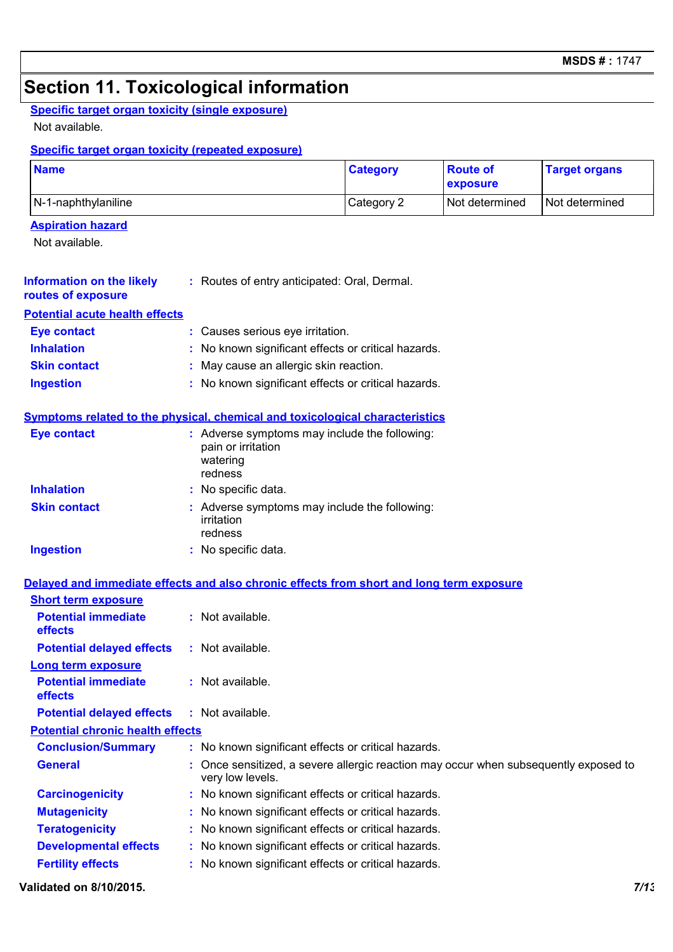### **Section 11. Toxicological information**

### **Specific target organ toxicity (single exposure)**

Not available.

### **Specific target organ toxicity (repeated exposure)**

| <b>Name</b>                                            |                                                                                            | <b>Category</b> | <b>Route of</b><br>exposure | <b>Target organs</b> |  |  |
|--------------------------------------------------------|--------------------------------------------------------------------------------------------|-----------------|-----------------------------|----------------------|--|--|
| N-1-naphthylaniline                                    | Category 2                                                                                 | Not determined  | Not determined              |                      |  |  |
| <b>Aspiration hazard</b>                               |                                                                                            |                 |                             |                      |  |  |
| Not available.                                         |                                                                                            |                 |                             |                      |  |  |
| <b>Information on the likely</b><br>routes of exposure | : Routes of entry anticipated: Oral, Dermal.                                               |                 |                             |                      |  |  |
| <b>Potential acute health effects</b>                  |                                                                                            |                 |                             |                      |  |  |
| <b>Eye contact</b>                                     | : Causes serious eye irritation.                                                           |                 |                             |                      |  |  |
| <b>Inhalation</b>                                      | : No known significant effects or critical hazards.                                        |                 |                             |                      |  |  |
| <b>Skin contact</b>                                    | May cause an allergic skin reaction.                                                       |                 |                             |                      |  |  |
| <b>Ingestion</b>                                       | No known significant effects or critical hazards.                                          |                 |                             |                      |  |  |
|                                                        | Symptoms related to the physical, chemical and toxicological characteristics               |                 |                             |                      |  |  |
| <b>Eye contact</b>                                     | : Adverse symptoms may include the following:<br>pain or irritation<br>watering<br>redness |                 |                             |                      |  |  |
| <b>Inhalation</b>                                      | : No specific data.                                                                        |                 |                             |                      |  |  |
| <b>Skin contact</b>                                    | : Adverse symptoms may include the following:<br>irritation<br>redness                     |                 |                             |                      |  |  |
| <b>Ingestion</b>                                       | : No specific data.                                                                        |                 |                             |                      |  |  |
|                                                        |                                                                                            |                 |                             |                      |  |  |
| <b>Short term exposure</b>                             | Delayed and immediate effects and also chronic effects from short and long term exposure   |                 |                             |                      |  |  |
| <b>Potential immediate</b><br>effects                  | : Not available.                                                                           |                 |                             |                      |  |  |

| <b>effects</b>                               |                                                                                                          |
|----------------------------------------------|----------------------------------------------------------------------------------------------------------|
| <b>Potential delayed effects</b>             | $:$ Not available.                                                                                       |
| <b>Long term exposure</b>                    |                                                                                                          |
| <b>Potential immediate</b><br><b>effects</b> | $:$ Not available.                                                                                       |
| <b>Potential delayed effects</b>             | $:$ Not available.                                                                                       |
| <b>Potential chronic health effects</b>      |                                                                                                          |
| <b>Conclusion/Summary</b>                    | : No known significant effects or critical hazards.                                                      |
| <b>General</b>                               | : Once sensitized, a severe allergic reaction may occur when subsequently exposed to<br>very low levels. |
| <b>Carcinogenicity</b>                       | : No known significant effects or critical hazards.                                                      |
| <b>Mutagenicity</b>                          | : No known significant effects or critical hazards.                                                      |
| <b>Teratogenicity</b>                        | : No known significant effects or critical hazards.                                                      |
| <b>Developmental effects</b>                 | : No known significant effects or critical hazards.                                                      |
| <b>Fertility effects</b>                     | : No known significant effects or critical hazards.                                                      |

#### **Validated on 8/10/2015.** *7/13*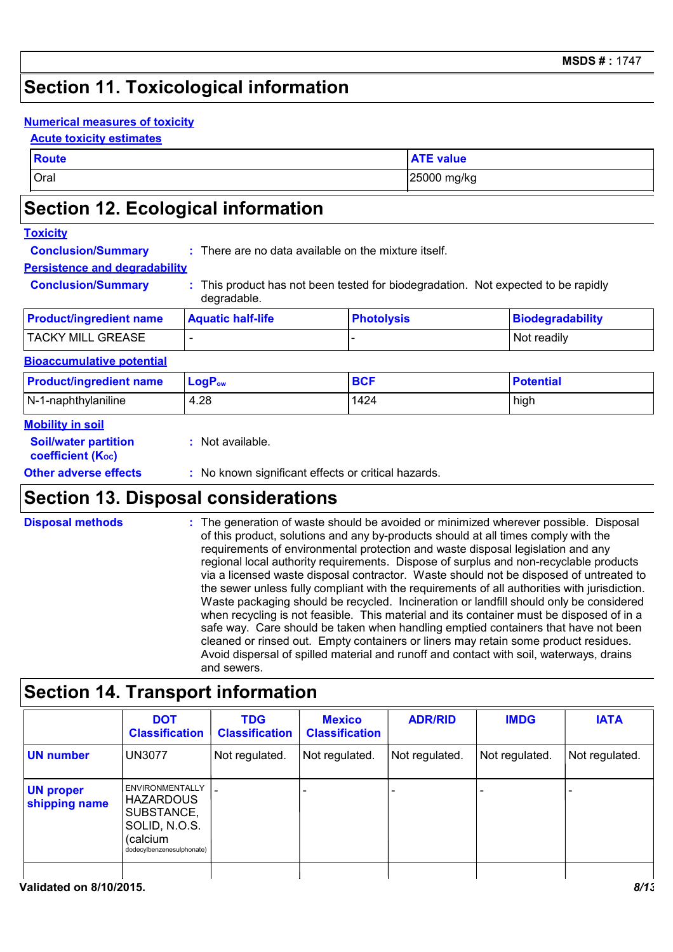### **Section 11. Toxicological information**

#### **Numerical measures of toxicity**

#### **Acute toxicity estimates**

| <b>Route</b> | <b>ATE value</b> |
|--------------|------------------|
| Oral         | 25000 mg/kg      |

### **Section 12. Ecological information**

#### **Toxicity**

**Conclusion/Summary :** There are no data available on the mixture itself.

#### **Persistence and degradability**

**Conclusion/Summary :** This product has not been tested for biodegradation. Not expected to be rapidly degradable.

| <b>Product/ingredient name</b> | <b>Aquatic half-life</b> | <b>Photolysis</b> | Biodegradability |
|--------------------------------|--------------------------|-------------------|------------------|
| <b>TACKY MILL GREASE</b>       | $\overline{\phantom{a}}$ |                   | Not readily      |

#### **Bioaccumulative potential**

| <b>Product/ingredient name</b> | $LogPow$ | <b>BCF</b> | <b>Potential</b> |
|--------------------------------|----------|------------|------------------|
| $N-1$ -naphthylaniline         | 4.28     | 1424       | high             |
| <b>Mobility in soil</b>        |          |            |                  |

| <b>Soil/water partition</b><br><b>coefficient (Koc)</b> | : Not available.                                    |
|---------------------------------------------------------|-----------------------------------------------------|
| <b>Other adverse effects</b>                            | : No known significant effects or critical hazards. |
|                                                         |                                                     |

### **Section 13. Disposal considerations**

The generation of waste should be avoided or minimized wherever possible. Disposal of this product, solutions and any by-products should at all times comply with the requirements of environmental protection and waste disposal legislation and any regional local authority requirements. Dispose of surplus and non-recyclable products via a licensed waste disposal contractor. Waste should not be disposed of untreated to the sewer unless fully compliant with the requirements of all authorities with jurisdiction. Waste packaging should be recycled. Incineration or landfill should only be considered when recycling is not feasible. This material and its container must be disposed of in a safe way. Care should be taken when handling emptied containers that have not been cleaned or rinsed out. Empty containers or liners may retain some product residues. Avoid dispersal of spilled material and runoff and contact with soil, waterways, drains and sewers. **Disposal methods :**

### **Section 14. Transport information**

| <b>UN number</b><br>Not regulated.<br>Not regulated.<br>Not regulated.<br>Not regulated.<br><b>UN3077</b><br>Not regulated.<br><b>ENVIRONMENTALLY</b><br><b>HAZARDOUS</b><br>SUBSTANCE,<br>SOLID, N.O.S.<br>(calcium<br>dodecylbenzenesulphonate) | <b>DOT</b><br><b>Classification</b> | <b>TDG</b><br><b>Classification</b> | <b>Mexico</b><br><b>Classification</b> | <b>ADR/RID</b> | <b>IMDG</b> | <b>IATA</b> |
|---------------------------------------------------------------------------------------------------------------------------------------------------------------------------------------------------------------------------------------------------|-------------------------------------|-------------------------------------|----------------------------------------|----------------|-------------|-------------|
| <b>UN proper</b><br>shipping name                                                                                                                                                                                                                 |                                     |                                     |                                        |                |             |             |
|                                                                                                                                                                                                                                                   |                                     |                                     |                                        |                |             |             |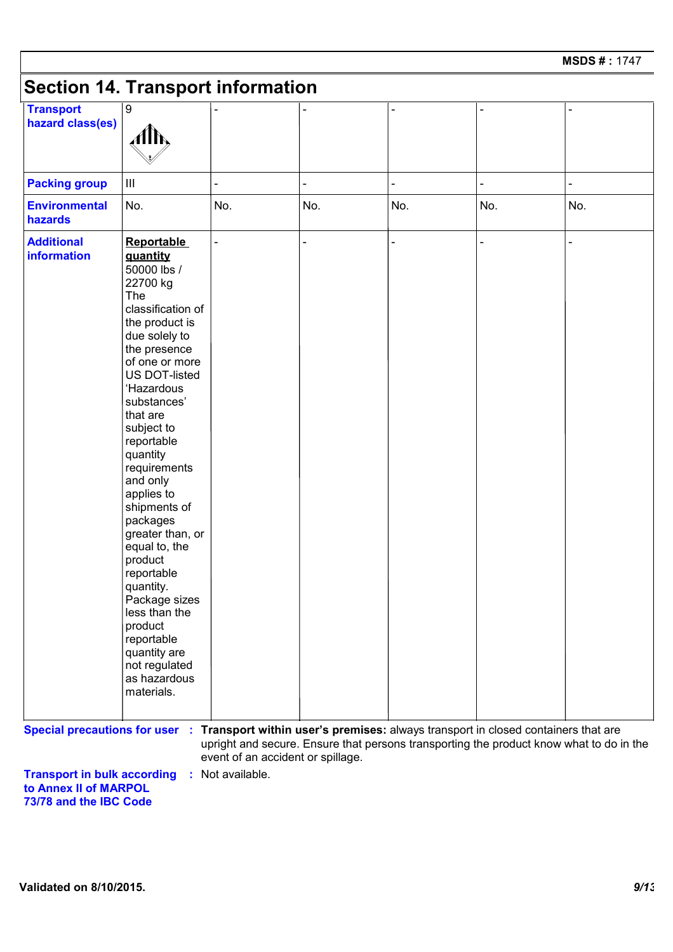## **Section 14. Transport information**

| <b>Transport</b><br>hazard class(es) | $\boldsymbol{9}$<br>Alh,                                                                                                                                                                                                                                                                                                                                                                                                                                                                                                               |     |     |     |     |     |
|--------------------------------------|----------------------------------------------------------------------------------------------------------------------------------------------------------------------------------------------------------------------------------------------------------------------------------------------------------------------------------------------------------------------------------------------------------------------------------------------------------------------------------------------------------------------------------------|-----|-----|-----|-----|-----|
| <b>Packing group</b>                 | $\mathbf{III}$                                                                                                                                                                                                                                                                                                                                                                                                                                                                                                                         |     |     |     |     |     |
| <b>Environmental</b><br>hazards      | No.                                                                                                                                                                                                                                                                                                                                                                                                                                                                                                                                    | No. | No. | No. | No. | No. |
| <b>Additional</b><br>information     | <b>Reportable</b><br>quantity<br>50000 lbs /<br>22700 kg<br>The<br>classification of<br>the product is<br>due solely to<br>the presence<br>of one or more<br>US DOT-listed<br>'Hazardous<br>substances'<br>that are<br>subject to<br>reportable<br>quantity<br>requirements<br>and only<br>applies to<br>shipments of<br>packages<br>greater than, or<br>equal to, the<br>product<br>reportable<br>quantity.<br>Package sizes<br>less than the<br>product<br>reportable<br>quantity are<br>not regulated<br>as hazardous<br>materials. |     |     |     |     |     |

**Transport in bulk according to Annex II of MARPOL 73/78 and the IBC Code :** Not available.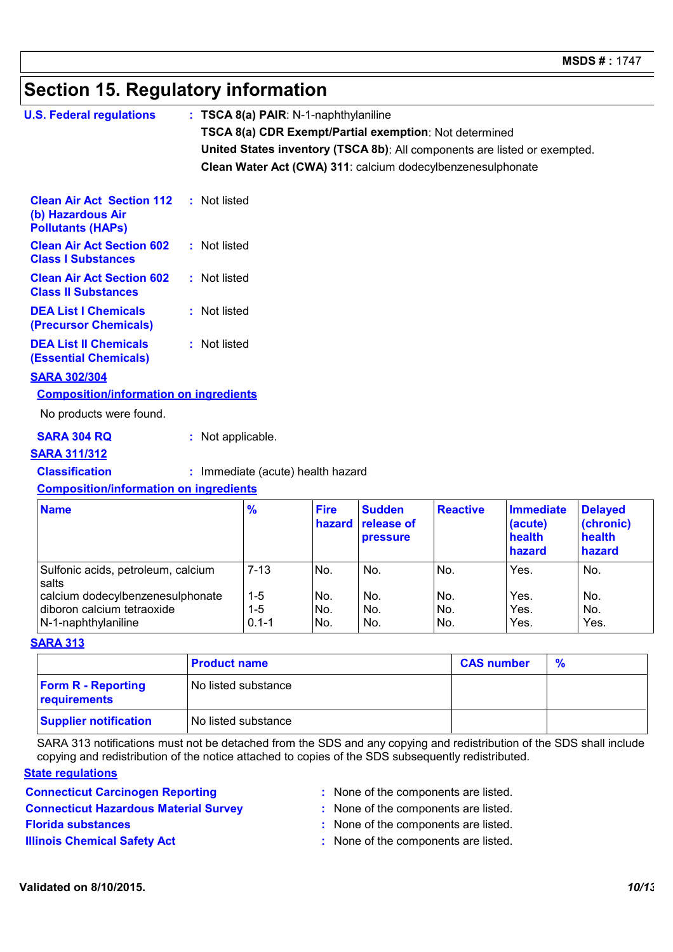### **Section 15. Regulatory information**

| <b>U.S. Federal regulations</b>                                                   |  | $: TSCA 8(a) PAIR: N-1-naphth$ ylaniline                                  |                       |                                                |                 |                                                 |                                                 |  |  |
|-----------------------------------------------------------------------------------|--|---------------------------------------------------------------------------|-----------------------|------------------------------------------------|-----------------|-------------------------------------------------|-------------------------------------------------|--|--|
|                                                                                   |  | TSCA 8(a) CDR Exempt/Partial exemption: Not determined                    |                       |                                                |                 |                                                 |                                                 |  |  |
|                                                                                   |  | United States inventory (TSCA 8b): All components are listed or exempted. |                       |                                                |                 |                                                 |                                                 |  |  |
|                                                                                   |  | Clean Water Act (CWA) 311: calcium dodecylbenzenesulphonate               |                       |                                                |                 |                                                 |                                                 |  |  |
|                                                                                   |  |                                                                           |                       |                                                |                 |                                                 |                                                 |  |  |
| <b>Clean Air Act Section 112</b><br>(b) Hazardous Air<br><b>Pollutants (HAPs)</b> |  | : Not listed                                                              |                       |                                                |                 |                                                 |                                                 |  |  |
| <b>Clean Air Act Section 602</b><br><b>Class I Substances</b>                     |  | : Not listed                                                              |                       |                                                |                 |                                                 |                                                 |  |  |
| <b>Clean Air Act Section 602</b><br><b>Class II Substances</b>                    |  | : Not listed                                                              |                       |                                                |                 |                                                 |                                                 |  |  |
| <b>DEA List I Chemicals</b><br>(Precursor Chemicals)                              |  | : Not listed                                                              |                       |                                                |                 |                                                 |                                                 |  |  |
| <b>DEA List II Chemicals</b><br><b>(Essential Chemicals)</b>                      |  | : Not listed                                                              |                       |                                                |                 |                                                 |                                                 |  |  |
| <b>SARA 302/304</b>                                                               |  |                                                                           |                       |                                                |                 |                                                 |                                                 |  |  |
| <b>Composition/information on ingredients</b>                                     |  |                                                                           |                       |                                                |                 |                                                 |                                                 |  |  |
| No products were found.                                                           |  |                                                                           |                       |                                                |                 |                                                 |                                                 |  |  |
| <b>SARA 304 RQ</b>                                                                |  | : Not applicable.                                                         |                       |                                                |                 |                                                 |                                                 |  |  |
| <b>SARA 311/312</b>                                                               |  |                                                                           |                       |                                                |                 |                                                 |                                                 |  |  |
| <b>Classification</b>                                                             |  | : Immediate (acute) health hazard                                         |                       |                                                |                 |                                                 |                                                 |  |  |
| <b>Composition/information on ingredients</b>                                     |  |                                                                           |                       |                                                |                 |                                                 |                                                 |  |  |
| <b>Name</b>                                                                       |  | %                                                                         | <b>Fire</b><br>hazard | <b>Sudden</b><br>release of<br><b>pressure</b> | <b>Reactive</b> | <b>Immediate</b><br>(acute)<br>health<br>hazard | <b>Delayed</b><br>(chronic)<br>health<br>hazard |  |  |

|           |      |     |     | hazard | hazard |
|-----------|------|-----|-----|--------|--------|
| $7 - 13$  | No.  | No. | No. | Yes.   | No.    |
|           |      |     |     |        |        |
| $1-5$     | No.  | No. | No. | Yes.   | No.    |
| $1 - 5$   | No.  | No. | No. | Yes.   | No.    |
| $0.1 - 1$ | INo. | No. | No. | Yes.   | Yes.   |
|           |      |     |     |        |        |

#### **SARA 313**

|                                           | <b>Product name</b>   | <b>CAS number</b> | $\frac{9}{6}$ |
|-------------------------------------------|-----------------------|-------------------|---------------|
| <b>Form R - Reporting</b><br>requirements | l No listed substance |                   |               |
| <b>Supplier notification</b>              | No listed substance   |                   |               |

SARA 313 notifications must not be detached from the SDS and any copying and redistribution of the SDS shall include copying and redistribution of the notice attached to copies of the SDS subsequently redistributed.

#### **State regulations**

- **Connecticut Carcinogen Reporting <b>Example 2 :** None of the components are listed.
- 
- 
- 
- **Connecticut Hazardous Material Survey :** None of the components are listed.
- **Florida substances :** None of the components are listed.
- **Illinois Chemical Safety Act :** None of the components are listed.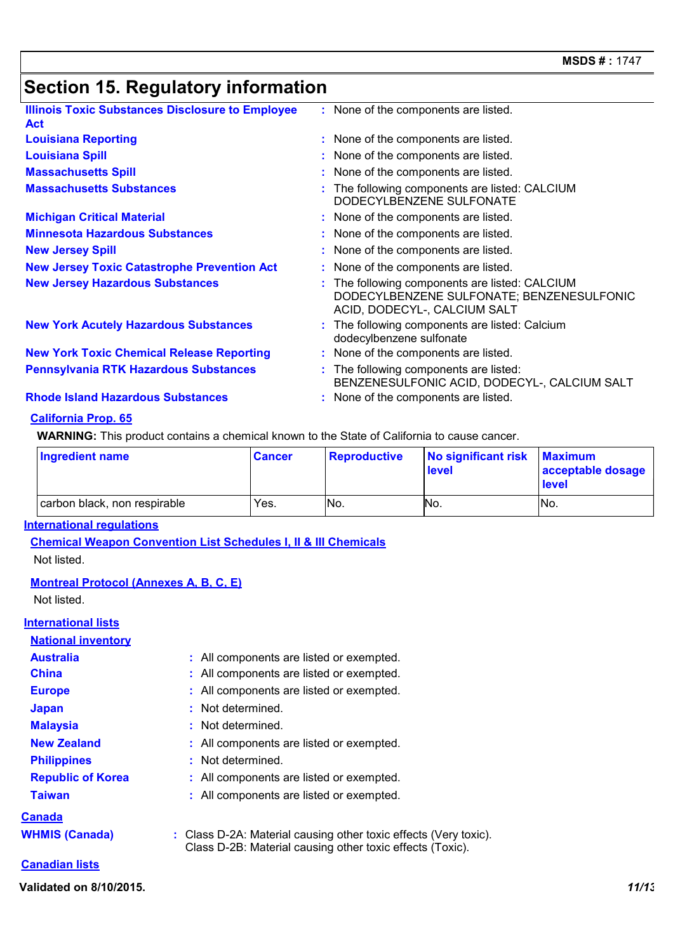## **Section 15. Regulatory information**

| <b>Illinois Toxic Substances Disclosure to Employee</b><br><b>Act</b> | : None of the components are listed.                                                                                        |
|-----------------------------------------------------------------------|-----------------------------------------------------------------------------------------------------------------------------|
| <b>Louisiana Reporting</b>                                            | : None of the components are listed.                                                                                        |
| <b>Louisiana Spill</b>                                                | : None of the components are listed.                                                                                        |
| <b>Massachusetts Spill</b>                                            | : None of the components are listed.                                                                                        |
| <b>Massachusetts Substances</b>                                       | : The following components are listed: CALCIUM<br>DODECYLBENZENE SULFONATE                                                  |
| <b>Michigan Critical Material</b>                                     | : None of the components are listed.                                                                                        |
| <b>Minnesota Hazardous Substances</b>                                 | : None of the components are listed.                                                                                        |
| <b>New Jersey Spill</b>                                               | : None of the components are listed.                                                                                        |
| <b>New Jersey Toxic Catastrophe Prevention Act</b>                    | : None of the components are listed.                                                                                        |
| <b>New Jersey Hazardous Substances</b>                                | : The following components are listed: CALCIUM<br>DODECYLBENZENE SULFONATE; BENZENESULFONIC<br>ACID, DODECYL-, CALCIUM SALT |
| <b>New York Acutely Hazardous Substances</b>                          | : The following components are listed: Calcium<br>dodecylbenzene sulfonate                                                  |
| <b>New York Toxic Chemical Release Reporting</b>                      | : None of the components are listed.                                                                                        |
| <b>Pennsylvania RTK Hazardous Substances</b>                          | : The following components are listed:<br>BENZENESULFONIC ACID, DODECYL-, CALCIUM SALT                                      |
| <b>Rhode Island Hazardous Substances</b>                              | : None of the components are listed.                                                                                        |
|                                                                       |                                                                                                                             |

#### **California Prop. 65**

**WARNING:** This product contains a chemical known to the State of California to cause cancer.

| Ingredient name              | <b>Cancer</b> | Reproductive | No significant risk<br>level | <b>Maximum</b><br>acceptable dosage<br>level |
|------------------------------|---------------|--------------|------------------------------|----------------------------------------------|
| carbon black, non respirable | Yes.          | No.          | No.                          | No.                                          |

#### **International regulations**

**Chemical Weapon Convention List Schedules I, II & III Chemicals** Not listed.

#### **Montreal Protocol (Annexes A, B, C, E)**

Not listed.

#### **International lists**

| <b>National inventory</b> |                                                                                                                               |
|---------------------------|-------------------------------------------------------------------------------------------------------------------------------|
| <b>Australia</b>          | : All components are listed or exempted.                                                                                      |
| <b>China</b>              | : All components are listed or exempted.                                                                                      |
| <b>Europe</b>             | : All components are listed or exempted.                                                                                      |
| <b>Japan</b>              | : Not determined.                                                                                                             |
| <b>Malaysia</b>           | : Not determined.                                                                                                             |
| <b>New Zealand</b>        | : All components are listed or exempted.                                                                                      |
| <b>Philippines</b>        | : Not determined.                                                                                                             |
| <b>Republic of Korea</b>  | : All components are listed or exempted.                                                                                      |
| <b>Taiwan</b>             | : All components are listed or exempted.                                                                                      |
| Canada                    |                                                                                                                               |
| <b>WHMIS (Canada)</b>     | : Class D-2A: Material causing other toxic effects (Very toxic).<br>Class D-2B: Material causing other toxic effects (Toxic). |

#### **Canadian lists**

**Validated on 8/10/2015.** *11/13*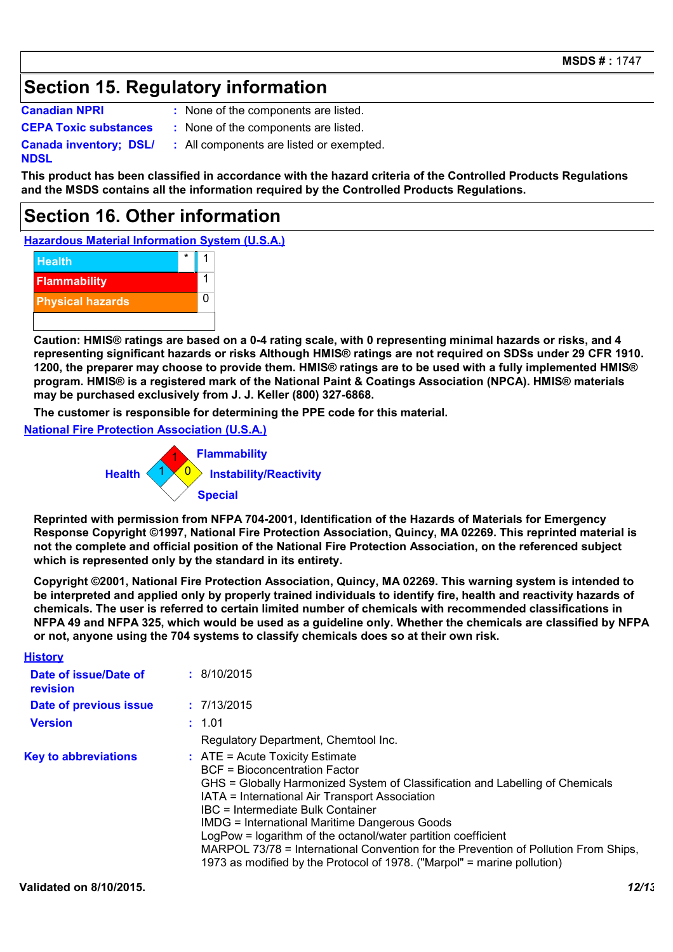### **Section 15. Regulatory information**

**Canadian NPRI :**

: None of the components are listed.

**CEPA Toxic substances :** None of the components are listed.

**Canada inventory; DSL/**

**NDSL**

**:** All components are listed or exempted.

**This product has been classified in accordance with the hazard criteria of the Controlled Products Regulations and the MSDS contains all the information required by the Controlled Products Regulations.**

### **Section 16. Other information**

**Hazardous Material Information System (U.S.A.)**



**Caution: HMIS® ratings are based on a 0-4 rating scale, with 0 representing minimal hazards or risks, and 4 representing significant hazards or risks Although HMIS® ratings are not required on SDSs under 29 CFR 1910. 1200, the preparer may choose to provide them. HMIS® ratings are to be used with a fully implemented HMIS® program. HMIS® is a registered mark of the National Paint & Coatings Association (NPCA). HMIS® materials may be purchased exclusively from J. J. Keller (800) 327-6868.**

**The customer is responsible for determining the PPE code for this material.**

**National Fire Protection Association (U.S.A.)**



**Reprinted with permission from NFPA 704-2001, Identification of the Hazards of Materials for Emergency Response Copyright ©1997, National Fire Protection Association, Quincy, MA 02269. This reprinted material is not the complete and official position of the National Fire Protection Association, on the referenced subject which is represented only by the standard in its entirety.**

**Copyright ©2001, National Fire Protection Association, Quincy, MA 02269. This warning system is intended to be interpreted and applied only by properly trained individuals to identify fire, health and reactivity hazards of chemicals. The user is referred to certain limited number of chemicals with recommended classifications in NFPA 49 and NFPA 325, which would be used as a guideline only. Whether the chemicals are classified by NFPA or not, anyone using the 704 systems to classify chemicals does so at their own risk.**

| <b>History</b>                    |                                                                                                                                                                                                                                                                                                                                                                                                                                                                                                                                                       |
|-----------------------------------|-------------------------------------------------------------------------------------------------------------------------------------------------------------------------------------------------------------------------------------------------------------------------------------------------------------------------------------------------------------------------------------------------------------------------------------------------------------------------------------------------------------------------------------------------------|
| Date of issue/Date of<br>revision | : 8/10/2015                                                                                                                                                                                                                                                                                                                                                                                                                                                                                                                                           |
| Date of previous issue            | : 7/13/2015                                                                                                                                                                                                                                                                                                                                                                                                                                                                                                                                           |
| <b>Version</b>                    | : 1.01                                                                                                                                                                                                                                                                                                                                                                                                                                                                                                                                                |
|                                   | Regulatory Department, Chemtool Inc.                                                                                                                                                                                                                                                                                                                                                                                                                                                                                                                  |
| <b>Key to abbreviations</b>       | $\therefore$ ATE = Acute Toxicity Estimate<br><b>BCF</b> = Bioconcentration Factor<br>GHS = Globally Harmonized System of Classification and Labelling of Chemicals<br>IATA = International Air Transport Association<br>IBC = Intermediate Bulk Container<br><b>IMDG = International Maritime Dangerous Goods</b><br>LogPow = logarithm of the octanol/water partition coefficient<br>MARPOL 73/78 = International Convention for the Prevention of Pollution From Ships,<br>1973 as modified by the Protocol of 1978. ("Marpol" = marine pollution) |